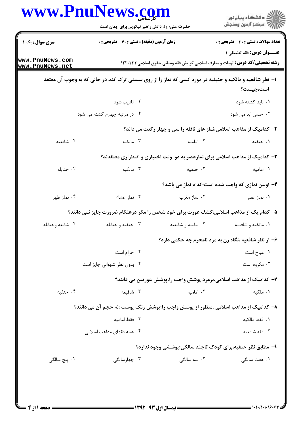|                  | حضرت علی(ع): دانش راهبر نیکویی برای ایمان است                                                          |                     | ڪ دانشڪاه پيا <sub>م</sub> نور<br>//> مرڪز آزمون وسنڊش                                                                    |  |
|------------------|--------------------------------------------------------------------------------------------------------|---------------------|---------------------------------------------------------------------------------------------------------------------------|--|
| سری سوال: یک ۱   | <b>زمان آزمون (دقیقه) : تستی : 60 ٪ تشریحی : 0</b>                                                     |                     | <b>تعداد سوالات : تستی : 30 ٪ تشریحی : 0</b>                                                                              |  |
| www.PnuNews.com  |                                                                                                        |                     | <b>عنـــوان درس:</b> فقه تطبیقی ۱<br><b>رشته تحصیلی/کد درس:</b> الهیات و معارف اسلامی گرایش فقه ومبانی حقوق اسلامی۱۲۲۰۲۳۳ |  |
| www.PnuNews.net  | ا- نظر شافعیه و مالکیه و حنبلیه در مورد کسی که نماز را از روی سسنی ترک کند در حالی که به وجوب آن معتقد |                     |                                                                                                                           |  |
|                  |                                                                                                        |                     | است،چیست؟                                                                                                                 |  |
|                  | ۰۲ تادیب شود                                                                                           |                     | ٠١. بايد كشته شود                                                                                                         |  |
|                  | ۰۴ در مرتبه چهارم کشته می شود                                                                          |                     | ۰۳ حبس ابد می شود                                                                                                         |  |
|                  |                                                                                                        |                     | ۲- کدامیک از مذاهب اسلامی،نماز های نافله را سی و چهار رکعت می داند؟                                                       |  |
| ۰۴ شافعیه        | ۰۳ مالکیه                                                                                              | ۰۲ امامیه           | ۰۱ حنفیه                                                                                                                  |  |
|                  |                                                                                                        |                     | ۳- کدامیک از مذاهب اسلامی برای نمازعصر به دو وقت اختیاری و اضطراری معتقدند؟                                               |  |
| ۰۴ حنابله        | ۰۳ مالکیه                                                                                              | ۰۲ حنفیه            | ۰۱ امامیه                                                                                                                 |  |
|                  |                                                                                                        |                     | ۴- اولین نمازی که واجب شده است؛کدام نماز می باشد؟                                                                         |  |
| ۰۴ نماز ظهر      | ۰۳ نماز عشاء                                                                                           | ۰۲ نماز مغرب        | ۰۱ نماز عصر                                                                                                               |  |
|                  | ۵– کدام یک از مذاهب اسلامی؛کشف عورت برای خود شخص را مگر درهنگام ضرورت جایز نمی دانند؟                  |                     |                                                                                                                           |  |
| ۰۴ شافعه وحنابله | ۰۳ حنفیه و حنابله                                                                                      | ۰۲ امامیه و شافعیه  | ٠١ مالكيه و شافعيه                                                                                                        |  |
|                  |                                                                                                        |                     | ۶- از نظر شافعیه ،نگاه زن به مرد نامحرم چه حکمی دارد؟                                                                     |  |
|                  | ۰۲ حرام است                                                                                            |                     | ٠١ مباح است                                                                                                               |  |
|                  | ۰۴ بدون نظر شهوانی جایز است                                                                            |                     | ۰۳ مکروه است                                                                                                              |  |
|                  |                                                                                                        |                     | ۷– کدامیک از مذاهب اسلامی،برمرد پوشش واجب را،پوشش عورتین می دانند؟                                                        |  |
| ۰۴ حنفیه         | ۰۳ شافیعه                                                                                              | ۰۲ امامیه           | ٠١ ملكيه                                                                                                                  |  |
|                  | ۸– کدامیک از مذاهب اسلامی ،منظور از پوشش واجب را؛پوشش رنگ پوست ؛نه حجم آن می دانند؟                    |                     |                                                                                                                           |  |
|                  | ٢. فقط اماميه                                                                                          |                     | ٠١. فقط مالكيه                                                                                                            |  |
|                  | ۰۴ همه فقهای مذاهب اسلامی                                                                              |                     | ۰۳ فقه شافعیه                                                                                                             |  |
|                  |                                                                                                        |                     | ۹- مطابق نظر حنفیه،برای کودک تاچند سالگی؛پوششی وجود ندارد؟                                                                |  |
| ۰۴ پنج سالگی     | ۰۳ چهارسالگ <i>ی</i>                                                                                   | ۰۲ سه سالگ <i>ی</i> | <b>۱</b> . هفت سالگی                                                                                                      |  |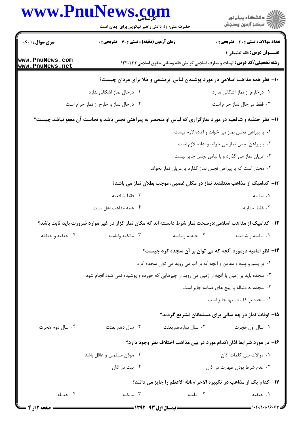|                                    | www.PnuNews.com<br>حضرت علی(ع): دانش راهبر نیکویی برای ایمان است                                          |                                                                   | ر<br>دانشڪاه پيام نور)<br>اڳ مرڪز آزمون وسنڊش                                        |
|------------------------------------|-----------------------------------------------------------------------------------------------------------|-------------------------------------------------------------------|--------------------------------------------------------------------------------------|
| <b>سری سوال : ۱ یک</b>             | زمان آزمون (دقیقه) : تستی : 60 ٪ تشریحی : 0                                                               |                                                                   | <b>تعداد سوالات : تستي : 30 ٪ تشريحي : 0</b>                                         |
|                                    |                                                                                                           |                                                                   | <b>عنــوان درس:</b> فقه تطبيقي 1                                                     |
| www.PnuNews.com<br>www.PnuNews.net |                                                                                                           |                                                                   | <b>رشته تحصیلی/کد درس:</b> الهیات و معارف اسلامی گرایش فقه ومبانی حقوق اسلامی۱۲۲۰۲۳۳ |
|                                    |                                                                                                           |                                                                   | ∙۱- نظر همه مذاهب اسلامی در مورد پوشیدن لباس ابریشمی و طلا برای مردان چیست؟          |
|                                    | ۰۲ درحال نماز اشکالی ندارد                                                                                |                                                                   | ۰۱ درخارج از نماز اشکالی ندارد                                                       |
|                                    | ۰۴ درحال نماز و خارج از نماز حرام است                                                                     |                                                                   | ۰۳ فقط در حال نماز حرام است                                                          |
|                                    | 11- نظر حنفیه و شافعیه در مورد نمازگزاری که لباس او منحصر به پیراهنی نجس باشد و نجاست آن معفو نباشد چیست؟ |                                                                   |                                                                                      |
|                                    |                                                                                                           |                                                                   | ۰۱ با پیراهن نجس نماز می خواند و اعاده لازم نیست                                     |
|                                    |                                                                                                           |                                                                   | ۰۲ باپیراهن نجس نماز می خواند و اعاده لازم است                                       |
|                                    |                                                                                                           |                                                                   | ۰۳ عریان نماز می گذارد و با لباس نجس جایز نیست                                       |
|                                    |                                                                                                           | ۰۴ مختار است که با پیراهن نجس نماز گذارد یا عریان نماز بخواند     |                                                                                      |
|                                    |                                                                                                           |                                                                   | ۱۲–  کدامیک از مذاهب معتقدند نماز در مکان غصبی، موجب بطلان نماز می باشد؟             |
|                                    | ٠٢ فقط شافعيه                                                                                             |                                                                   | ۰۱ امامیه                                                                            |
|                                    | ۰۴ همه مذاهب اهل سنت                                                                                      |                                                                   | ٠٣ فقط حنابله                                                                        |
|                                    | ۱۳– کدامیک از مذاهب اسلامی؛درصحت نماز شرط دانسته اند که مکان نماز گزار در غیر موارد ضرورت باید ثابت باشد؟ |                                                                   |                                                                                      |
| ۰۴ حنفیه و حنابله                  | ۰۳ مالکيه واماميه                                                                                         | ٠٢ حنفيه واماميه                                                  | ٠١ اماميه و شافعيه                                                                   |
|                                    |                                                                                                           |                                                                   | ۱۴- نظر امامیه درمورد آنچه که می توان بر آن سجده کرد چیست؟                           |
|                                    |                                                                                                           | ۰۱ بر پشم و پنبه و معادن و آنچه که بر آب می روید می توان سجده کرد |                                                                                      |
|                                    | ۰۲ سجده باید بر زمین یا آنچه از زمین می روید از چیزهایی که خورده و پوشیده نمی شود انجام شود               |                                                                   |                                                                                      |
|                                    |                                                                                                           |                                                                   | ۰۳ سجده به دنباله پا پیچ های عمامه جایز است                                          |
|                                    |                                                                                                           |                                                                   | ۰۴ سجده بر کف دستها جایز است                                                         |
|                                    |                                                                                                           |                                                                   | ۱۵– اوقات نماز در چه سالی برای مسلمانان تشریع گردید؟                                 |
| ۰۴ سال دوم هجرت                    | ۰۳ سال دهم بعثت                                                                                           | ۰۲ سال دوازدهم بعثت                                               | ٠١ سال اول هجرت                                                                      |
|                                    |                                                                                                           |                                                                   | ۱۶– در مورد شرایط اذان؛کدام مورد در بین مذاهب اختلاف نظر وجود دارد؟                  |
|                                    | ۰۲ موذن مسلمان و عاقل باشد                                                                                |                                                                   | ٠١. موالات بين كلمات اذان                                                            |
|                                    | ۰۴ نیت در اذان                                                                                            |                                                                   | ۰۳ عدم شرط بودن طهارت در اذان                                                        |
|                                    |                                                                                                           |                                                                   | ۱۷– کدام یک از مذاهب در تکبیره الاحرام،الله الاعظم را جایز می دانند؟                 |
| ۰۴ حنابله                          | ۰۳ مالکیه                                                                                                 | ۰۲ امامیه                                                         | ۰۱ حنفیه                                                                             |

 $= 1.1.11.119.8$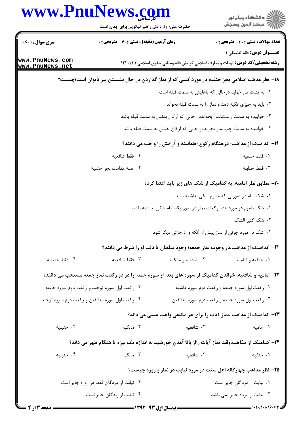|                                                                                               | www.PnuNews.com<br>حضرت علی(ع): دانش راهبر نیکویی برای ایمان است                                        |                             | ڪ دانشڪاه پيام نور<br>7ء مرڪز آزمون وسنڊش                                                                                 |  |
|-----------------------------------------------------------------------------------------------|---------------------------------------------------------------------------------------------------------|-----------------------------|---------------------------------------------------------------------------------------------------------------------------|--|
| <b>سری سوال : ۱ یک</b>                                                                        | <b>زمان آزمون (دقیقه) : تستی : 60 ٪ تشریحی : 0</b>                                                      |                             | تعداد سوالات : تستى : 30 - تشريحي : 0                                                                                     |  |
| www.PnuNews.com<br>www.PnuNews.net                                                            |                                                                                                         |                             | <b>عنــوان درس:</b> فقه تطبیقی ۱<br><b>رشته تحصیلی/کد درس: ا</b> لهیات و معارف اسلامی گرایش فقه ومبانی حقوق اسلامی1۲۲۰۲۳۳ |  |
| ۱۸– نظر مذهب اسلامی بجز حنفیه در مورد کسی که از نماز گذاردن در حال نشستن نیز ناتوان است؛چیست؟ |                                                                                                         |                             |                                                                                                                           |  |
|                                                                                               |                                                                                                         |                             | ۰۱ به پشت می خوابد درحالی که پاهایش به سمت قبله است                                                                       |  |
|                                                                                               |                                                                                                         |                             | ۰۲ باید به چیزی تکیه دهد و نماز را به سمت قبله بخواند                                                                     |  |
|                                                                                               |                                                                                                         |                             | ۰۳ خوابیده به سمت راست،نماز بخوانددر حالی که ارکان بدنش به سمت قبله باشد                                                  |  |
|                                                                                               |                                                                                                         |                             | ۰۴ خوابیده به سمت چپ،نماز بخوانددر حالی که ارکان بدنش به سمت قبله باشد                                                    |  |
|                                                                                               |                                                                                                         |                             | ۱۹- کدامیک از مذاهب؛ درهنگام رکوع ؛طمانینه و آرامش را واجب می دانند؟                                                      |  |
|                                                                                               | ٠٢ فقط شافعيه                                                                                           |                             | ٠١ فقط حنفيه                                                                                                              |  |
|                                                                                               | ۰۴ همه مذاهب بجز حنفيه                                                                                  |                             | ٠٣ فقط حنابله                                                                                                             |  |
|                                                                                               |                                                                                                         |                             | ۲۰- مطابق نظر امامیه، به کدامیک از شک های زیر باید اعتنا کرد؟                                                             |  |
|                                                                                               |                                                                                                         |                             | ۰۱ شک امام در صورتی که ماموم شکی نداشته باشد                                                                              |  |
|                                                                                               |                                                                                                         |                             | ۰۲ شک ماموم در مورد عدد رکعات نماز در صورتیکه امام شکی نداشته باشد                                                        |  |
|                                                                                               |                                                                                                         |                             | ۰۳ شک کثیر الشک                                                                                                           |  |
|                                                                                               |                                                                                                         |                             | ۰۴ شک در مورد جزئی از نماز پیش از آنکه وارد جزئی دیگر شود                                                                 |  |
|                                                                                               |                                                                                                         |                             | <b>۲۱</b> - کدامیک از مذاهب،در وجوب نماز جمعه؛ وجود سلطان یا نائب او را شرط می دانند؟                                     |  |
| ۰۴ فقط حنبليه                                                                                 | ۰۳ فقط شافعیه                                                                                           | ۰۲ شافعیه و مالکیه          | ۰۱ حنفیه و امامیه                                                                                                         |  |
|                                                                                               | ۲۲– امامیه و شافعیه، خواندن کدامیک از سوره های بعد از سوره حمد را در دو رکعت نماز جمعه مستحب می دانند؟  |                             |                                                                                                                           |  |
| ۰۲ رکعت اول سوره توحید و رکعت دوم سوره جمعه                                                   |                                                                                                         |                             | ۰۱ رکعت اول سوره جمعه و رکعت دوم سوره غاشیه                                                                               |  |
|                                                                                               | ۰۴ رکعت اول سوره منافقین و رکعت دوم سوره توحید                                                          |                             | ۰۳ رکعت اول سوره جمعه و رکعت دوم سوره منافقین                                                                             |  |
|                                                                                               |                                                                                                         |                             | ۲۳– کدامیک از مذاهب ،نماز آیات را برای هر مکلفی واجب عینی می داند؟                                                        |  |
| ۰۴ حنبليه                                                                                     | ۰۳ مالکیه                                                                                               | ٢. شافعيه                   | ٠١. اماميه                                                                                                                |  |
|                                                                                               | <b>۲۴</b> – کدامیک از مذاهب،وقت نماز آیات رااز بالا آمدن خورشید به اندازه یک نیزه تا هنگام ظهر می داند؟ |                             |                                                                                                                           |  |
| ۰۴ حنبليه                                                                                     | ۰۳ مالکیه                                                                                               | ۰۲ شافعیه                   | ۰۱ حنفیه                                                                                                                  |  |
|                                                                                               |                                                                                                         |                             | ۲۵- نظر مذاهب چهارگانه اهل سنت در مورد نیابت در نماز و روزه چیست؟                                                         |  |
|                                                                                               | ۰۲ نیابت از مردگان فقط در روزه جایز است                                                                 | ۰۱ نیابت از مردگان جایز است |                                                                                                                           |  |
|                                                                                               | ۰۴ نیابت از زندگان جایز است                                                                             |                             | ۰۳ نیابت از مرده جایز نمی باشد                                                                                            |  |
| <b>صفحه 3 از 4 =</b>                                                                          | <b>==</b> نیمسال اول ۹۳-۱۳۹۲ <del>---------</del>                                                       |                             |                                                                                                                           |  |